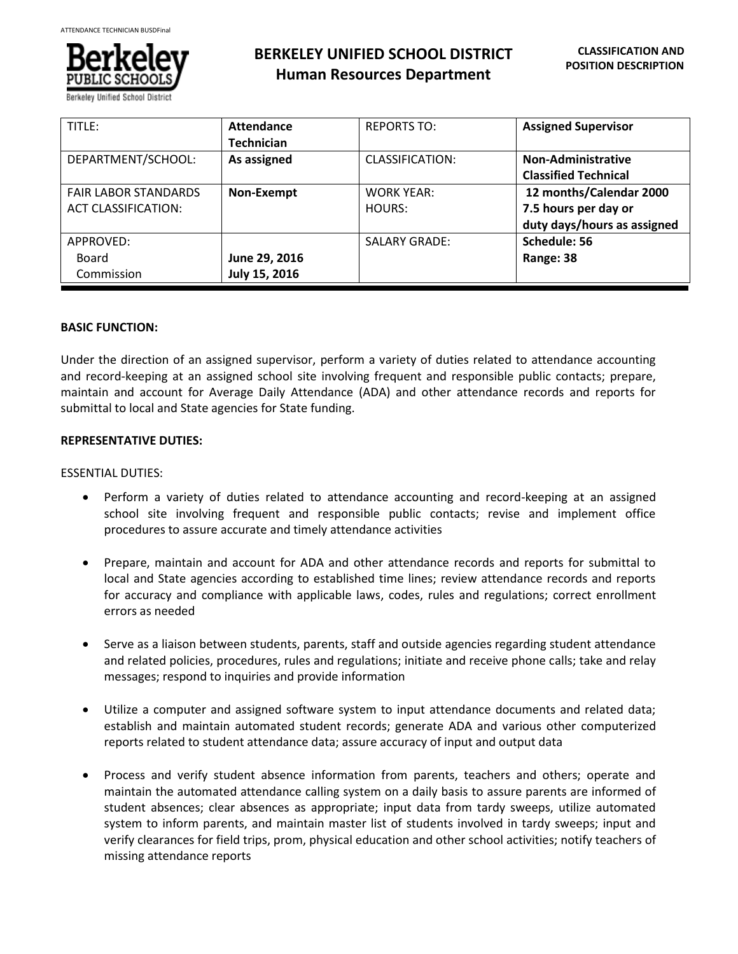

**BERKELEY UNIFIED SCHOOL DISTRICT Human Resources Department**

| TITLE:                                                    | Attendance<br><b>Technician</b> | <b>REPORTS TO:</b>          | <b>Assigned Supervisor</b>                                                     |
|-----------------------------------------------------------|---------------------------------|-----------------------------|--------------------------------------------------------------------------------|
| DEPARTMENT/SCHOOL:                                        | As assigned                     | CLASSIFICATION:             | <b>Non-Administrative</b><br><b>Classified Technical</b>                       |
| <b>FAIR LABOR STANDARDS</b><br><b>ACT CLASSIFICATION:</b> | Non-Exempt                      | <b>WORK YEAR:</b><br>HOURS: | 12 months/Calendar 2000<br>7.5 hours per day or<br>duty days/hours as assigned |
| APPROVED:<br>Board<br>Commission                          | June 29, 2016<br>July 15, 2016  | <b>SALARY GRADE:</b>        | Schedule: 56<br>Range: 38                                                      |

# **BASIC FUNCTION:**

Under the direction of an assigned supervisor, perform a variety of duties related to attendance accounting and record-keeping at an assigned school site involving frequent and responsible public contacts; prepare, maintain and account for Average Daily Attendance (ADA) and other attendance records and reports for submittal to local and State agencies for State funding.

# **REPRESENTATIVE DUTIES:**

## ESSENTIAL DUTIES:

- Perform a variety of duties related to attendance accounting and record-keeping at an assigned school site involving frequent and responsible public contacts; revise and implement office procedures to assure accurate and timely attendance activities
- Prepare, maintain and account for ADA and other attendance records and reports for submittal to local and State agencies according to established time lines; review attendance records and reports for accuracy and compliance with applicable laws, codes, rules and regulations; correct enrollment errors as needed
- Serve as a liaison between students, parents, staff and outside agencies regarding student attendance and related policies, procedures, rules and regulations; initiate and receive phone calls; take and relay messages; respond to inquiries and provide information
- Utilize a computer and assigned software system to input attendance documents and related data; establish and maintain automated student records; generate ADA and various other computerized reports related to student attendance data; assure accuracy of input and output data
- Process and verify student absence information from parents, teachers and others; operate and maintain the automated attendance calling system on a daily basis to assure parents are informed of student absences; clear absences as appropriate; input data from tardy sweeps, utilize automated system to inform parents, and maintain master list of students involved in tardy sweeps; input and verify clearances for field trips, prom, physical education and other school activities; notify teachers of missing attendance reports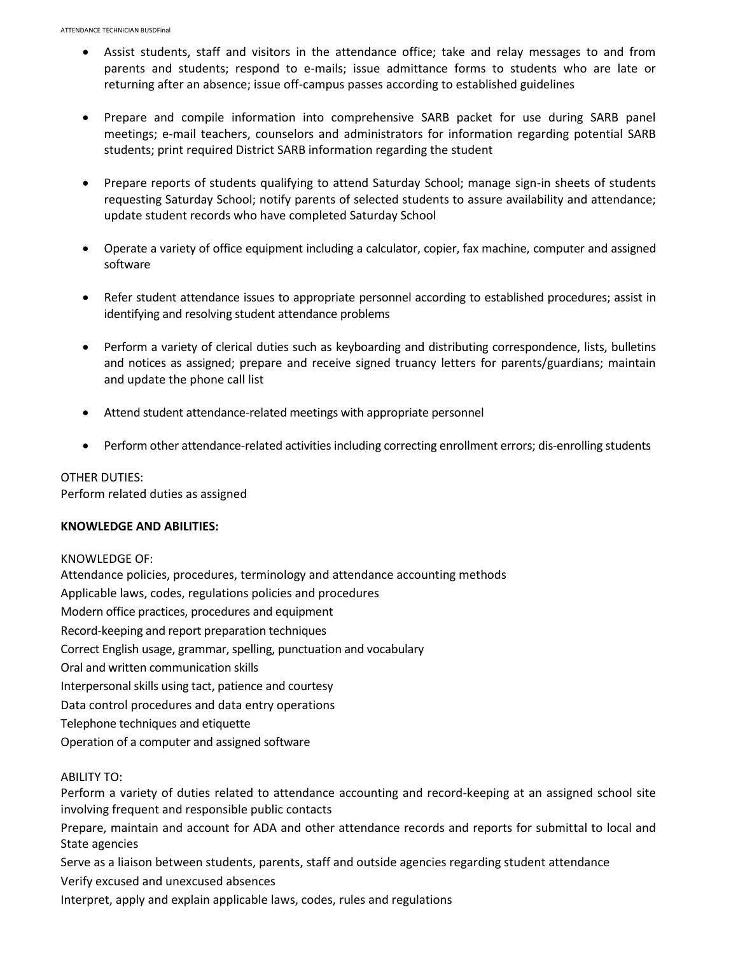- Assist students, staff and visitors in the attendance office; take and relay messages to and from parents and students; respond to e-mails; issue admittance forms to students who are late or returning after an absence; issue off-campus passes according to established guidelines
- Prepare and compile information into comprehensive SARB packet for use during SARB panel meetings; e-mail teachers, counselors and administrators for information regarding potential SARB students; print required District SARB information regarding the student
- Prepare reports of students qualifying to attend Saturday School; manage sign-in sheets of students requesting Saturday School; notify parents of selected students to assure availability and attendance; update student records who have completed Saturday School
- Operate a variety of office equipment including a calculator, copier, fax machine, computer and assigned software
- Refer student attendance issues to appropriate personnel according to established procedures; assist in identifying and resolving student attendance problems
- Perform a variety of clerical duties such as keyboarding and distributing correspondence, lists, bulletins and notices as assigned; prepare and receive signed truancy letters for parents/guardians; maintain and update the phone call list
- Attend student attendance-related meetings with appropriate personnel
- Perform other attendance-related activities including correcting enrollment errors; dis-enrolling students

OTHER DUTIES: Perform related duties as assigned

#### **KNOWLEDGE AND ABILITIES:**

KNOWLEDGE OF: Attendance policies, procedures, terminology and attendance accounting methods Applicable laws, codes, regulations policies and procedures Modern office practices, procedures and equipment Record-keeping and report preparation techniques Correct English usage, grammar, spelling, punctuation and vocabulary Oral and written communication skills Interpersonal skills using tact, patience and courtesy Data control procedures and data entry operations Telephone techniques and etiquette

Operation of a computer and assigned software

# ABILITY TO:

Perform a variety of duties related to attendance accounting and record-keeping at an assigned school site involving frequent and responsible public contacts

Prepare, maintain and account for ADA and other attendance records and reports for submittal to local and State agencies

Serve as a liaison between students, parents, staff and outside agencies regarding student attendance

Verify excused and unexcused absences

Interpret, apply and explain applicable laws, codes, rules and regulations